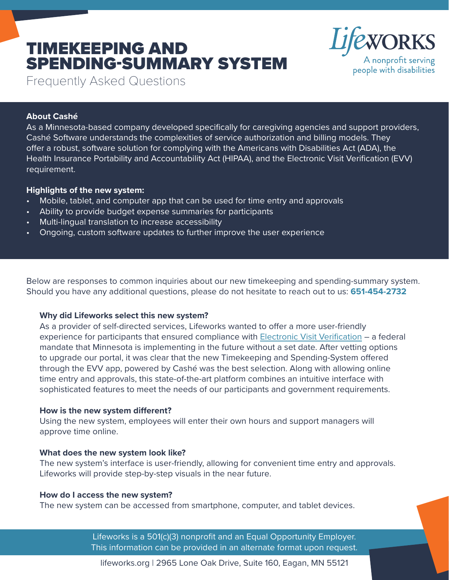# TIMEKEEPING AND SPENDING-SUMMARY SYSTEM



Frequently Asked Questions

# **About Cashé**

As a Minnesota-based company developed specifically for caregiving agencies and support providers, Cashé Software understands the complexities of service authorization and billing models. They offer a robust, software solution for complying with the Americans with Disabilities Act (ADA), the Health Insurance Portability and Accountability Act (HIPAA), and the Electronic Visit Verification (EVV) requirement.

# **Highlights of the new system:**

- Mobile, tablet, and computer app that can be used for time entry and approvals
- Ability to provide budget expense summaries for participants
- Multi-lingual translation to increase accessibility
- Ongoing, custom software updates to further improve the user experience

Below are responses to common inquiries about our new timekeeping and spending-summary system. Should you have any additional questions, please do not hesitate to reach out to us: **651-454-2732**

## **Why did Lifeworks select this new system?**

As a provider of self-directed services, Lifeworks wanted to offer a more user-friendly experience for participants that ensured compliance with [Electronic Visit Verification](https://mn.gov/dhs/partners-and-providers/news-initiatives-reports-workgroups/long-term-services-and-supports/evv/) – a federal mandate that Minnesota is implementing in the future without a set date. After vetting options to upgrade our portal, it was clear that the new Timekeeping and Spending-System offered through the EVV app, powered by Cashé was the best selection. Along with allowing online time entry and approvals, this state-of-the-art platform combines an intuitive interface with sophisticated features to meet the needs of our participants and government requirements.

## **How is the new system different?**

Using the new system, employees will enter their own hours and support managers will approve time online.

## **What does the new system look like?**

The new system's interface is user-friendly, allowing for convenient time entry and approvals. Lifeworks will provide step-by-step visuals in the near future.

## **How do I access the new system?**

The new system can be accessed from smartphone, computer, and tablet devices.

Lifeworks is a 501(c)(3) nonprofit and an Equal Opportunity Employer. This information can be provided in an alternate format upon request.

lifeworks.org | 2965 Lone Oak Drive, Suite 160, Eagan, MN 55121